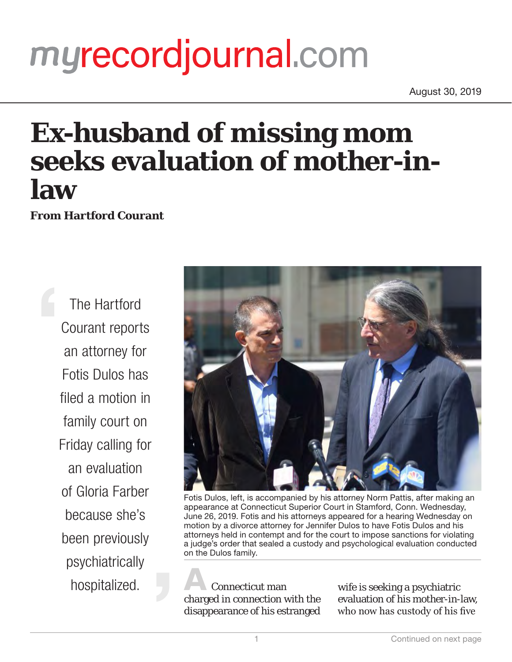## myrecordjournal.com

August 30, 2019

## **Ex-husband of missing mom seeks evaluation of mother-inlaw**

**From Hartford Courant**

The Hartford Courant reports an attorney for Fotis Dulos has filed a motion in family court on Friday calling for an evaluation of Gloria Farber because she's been previously psychiatrically hospitalized.



Fotis Dulos, left, is accompanied by his attorney Norm Pattis, after making an appearance at Connecticut Superior Court in Stamford, Conn. Wednesday, June 26, 2019. Fotis and his attorneys appeared for a hearing Wednesday on motion by a divorce attorney for Jennifer Dulos to have Fotis Dulos and his attorneys held in contempt and for the court to impose sanctions for violating a judge's order that sealed a custody and psychological evaluation conducted on the Dulos family.

**A** Connecticut man charged in connection with the disappearance of his estranged

wife is seeking a psychiatric evaluation of his mother-in-law, who now has custody of his five